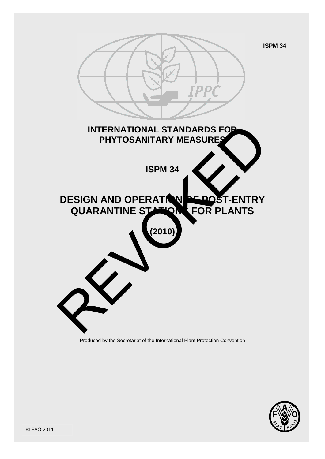

Produced by the Secretariat of the International Plant Protection Convention

![](_page_0_Picture_2.jpeg)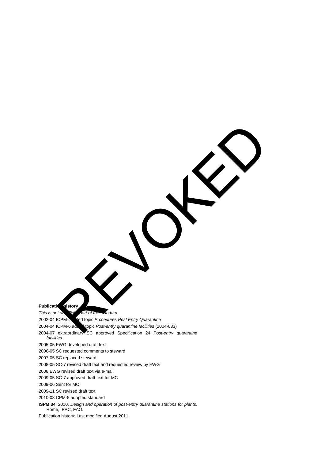**Publication history** *This is not an "ic"* part of the standard 2002-04 ICPM-4 ted topic *Procedures Pest Entry Quarantine* 2004-04 ICPM-6 added topic *Post-entry quarantine facilities* (2004-033) 2004-07 extraordinary SC approved Specification 24 *Post-entry quarantine facilities* 2005-05 EWG developed draft text 2006-05 SC requested comments to steward 2007-05 SC replaced steward 2008-05 SC-7 revised draft text and requested review by EWG 2008 EWG revised draft text via e-mail 2009-05 SC-7 approved draft text for MC 2009-06 Sent for MC 2009-11 SC revised draft text 2010-03 CPM-5 adopted standard **ISPM 34**. 2010. *Design and operation of post-entry quarantine stations for plants*. Rome, IPPC, FAO. Publication history: Last modified August 2011 REVOKED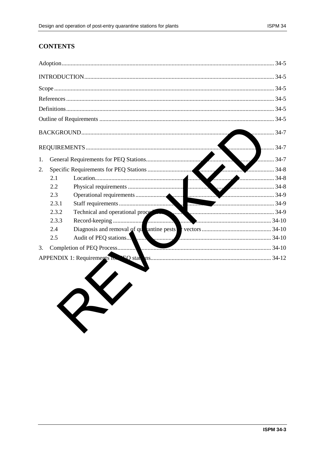# **CONTENTS**

|       |                                                                                                                                                                                                                                | 34-7               |  |
|-------|--------------------------------------------------------------------------------------------------------------------------------------------------------------------------------------------------------------------------------|--------------------|--|
|       |                                                                                                                                                                                                                                | $\ldots$ 34-7      |  |
| 1.    |                                                                                                                                                                                                                                | $\sum$ 34-7        |  |
| 2.    |                                                                                                                                                                                                                                | $\ldots$ 34-8      |  |
| 2.1   |                                                                                                                                                                                                                                |                    |  |
| 2.2   |                                                                                                                                                                                                                                | $\frac{1}{2}$ 34-8 |  |
| 2.3   |                                                                                                                                                                                                                                |                    |  |
| 2.3.1 |                                                                                                                                                                                                                                |                    |  |
| 2.3.2 | Technical and operational processes and contract the contract of the set of the set of the set of the set of the set of the set of the set of the set of the set of the set of the set of the set of the set of the set of the |                    |  |
| 2.3.3 |                                                                                                                                                                                                                                |                    |  |
| 2.4   |                                                                                                                                                                                                                                |                    |  |
| 2.5   | Audit of PEQ stations                                                                                                                                                                                                          |                    |  |
| 3.    |                                                                                                                                                                                                                                |                    |  |
|       |                                                                                                                                                                                                                                |                    |  |
|       |                                                                                                                                                                                                                                |                    |  |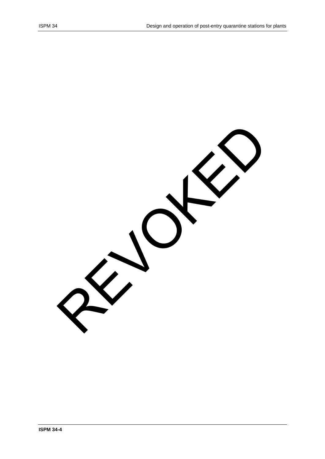![](_page_3_Picture_2.jpeg)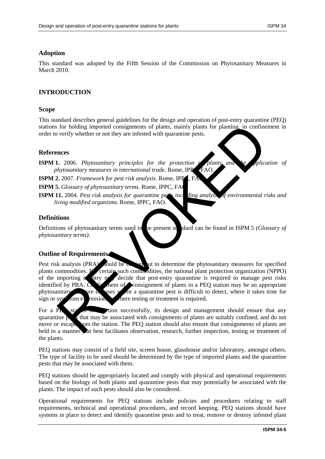## **Adoption**

This standard was adopted by the Fifth Session of the Commission on Phytosanitary Measures in March 2010.

## **INTRODUCTION**

#### **Scope**

This standard describes general guidelines for the design and operation of post-entry quarantine (PEQ) stations for holding imported consignments of plants, mainly plants for planting, in confinement in order to verify whether or not they are infested with quarantine pests.

#### **References**

**ISPM 1.** 2006. *Phytosanitary principles for the protection collants and the oplication of phytosanitary measures in international trade. Rome, IPPC, FAO.* 

**ISPM 2.** 2007. *Framework for pest risk analysis*. Rome, IPP<sup>4</sup>, FA

**ISPM 5.** *Glossary of phytosanitary terms*. Rome, IPPC, FA

**ISPM 11.** 2004. *Pest risk analysis for quarantine persing ding analysis of environmental risks and living modified organisms*. Rome, IPPC, FAO.

#### **Definitions**

Definitions of phytosanitary terms used in the present standard can be found in ISPM 5 *(Glossary of phytosanitary terms)*.

## **Outline of Requirements**

Pest risk analysis (PRA) should be carried out to determine the phytosanitary measures for specified plants commodities. For certain such commodities, the national plant protection organization (NPPO) of the importing  $\alpha$  ntry  $\alpha$  decide that post-entry quarantine is required to manage pest risks identified by PRA. Confirment of consignment of plants in a PEQ station may be an appropriate phytosanitary where it cases where a quarantine pest is difficult to detect, where it takes time for sign or symptom expression,  $\blacksquare$  where testing or treatment is required. The State of Persons and the state of plants of plants, mainly plants for planting, in confine<br>
The verify whether or not they are infested with quarantine pests.<br>
1. 2006. Phytosanitary measures in international trade. Ro

For a PE station successfully, its design and management should ensure that any quarantine  $p_{\text{S}}$  that may be associated with consignments of plants are suitably confined, and do not move or escape from the station. The PEQ station should also ensure that consignments of plants are held in a manner that best facilitates observation, research, further inspection, testing or treatment of the plants.

PEQ stations may consist of a field site, screen house, glasshouse and/or laboratory, amongst others. The type of facility to be used should be determined by the type of imported plants and the quarantine pests that may be associated with them.

PEQ stations should be appropriately located and comply with physical and operational requirements based on the biology of both plants and quarantine pests that may potentially be associated with the plants. The impact of such pests should also be considered.

Operational requirements for PEQ stations include policies and procedures relating to staff requirements, technical and operational procedures, and record keeping. PEQ stations should have systems in place to detect and identify quarantine pests and to treat, remove or destroy infested plant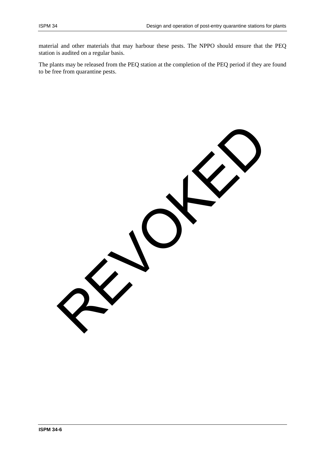material and other materials that may harbour these pests. The NPPO should ensure that the PEQ station is audited on a regular basis.

The plants may be released from the PEQ station at the completion of the PEQ period if they are found to be free from quarantine pests.

REVOKED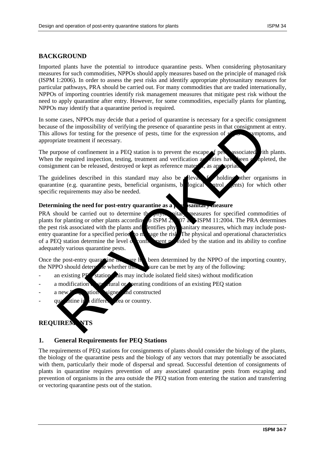## **BACKGROUND**

Imported plants have the potential to introduce quarantine pests. When considering phytosanitary measures for such commodities, NPPOs should apply measures based on the principle of managed risk (ISPM 1:2006). In order to assess the pest risks and identify appropriate phytosanitary measures for particular pathways, PRA should be carried out. For many commodities that are traded internationally, NPPOs of importing countries identify risk management measures that mitigate pest risk without the need to apply quarantine after entry. However, for some commodities, especially plants for planting, NPPOs may identify that a quarantine period is required.

In some cases, NPPOs may decide that a period of quarantine is necessary for a specific consignment because of the impossibility of verifying the presence of quarantine pests in that consignment at entry. This allows for testing for the presence of pests, time for the expression of  $s^2$  as symptoms, and appropriate treatment if necessary.

The purpose of confinement in a PEQ station is to prevent the escape of pests associated ith plants. When the required inspection, testing, treatment and verification a vities have been completed, the consignment can be released, destroyed or kept as reference material, as appropriate.

The guidelines described in this standard may also be relevant for holding other organisms in quarantine (e.g. quarantine pests, beneficial organisms, b logical vitrol ents) for which other specific requirements may also be needed.

## **Determining the need for post-entry quarantine as a phytosanitary measure**

PRA should be carried out to determine the private measures for specified commodities of plants for planting or other plants according to ISPM  $\overline{2}$ ,  $\overline{2}$  (15PM 11:2004. The PRA determines the pest risk associated with the plants and lentifies phytosanitary measures, which may include postentry quarantine for a specified period to manage the risk. The physical and operational characteristics of a PEQ station determine the level  $\alpha$  confinement provided by the station and its ability to confine adequately various quarantine pests. For the impossibility of verifying the presence of quarantine pests in that consignment and<br>volvs for testing for the presence of pests, time for the expression of<br>via the treatment if necessary.<br>These of confinement in a

Once the post-entry quarantine  $\mathbf{h}$ , we has been determined by the NPPO of the importing country, the NPPO should determine whether this measure can be met by any of the following:

- an existing  $PF$  station (h) station (h) station is may include isolated field sites) without modification
- a modification of structural or operating conditions of an existing PEO station
- $\frac{1}{2}$  signed and constructed
- $\alpha$  htine in a different area or country.

# **REQUIREMENTS**

## **1. General Requirements for PEQ Stations**

The requirements of PEQ stations for consignments of plants should consider the biology of the plants, the biology of the quarantine pests and the biology of any vectors that may potentially be associated with them, particularly their mode of dispersal and spread. Successful detention of consignments of plants in quarantine requires prevention of any associated quarantine pests from escaping and prevention of organisms in the area outside the PEQ station from entering the station and transferring or vectoring quarantine pests out of the station.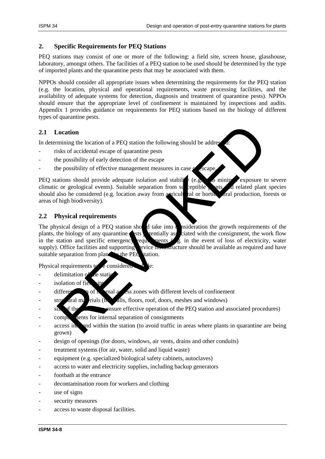#### **2. Specific Requirements for PEQ Stations**

PEQ stations may consist of one or more of the following: a field site, screen house, glasshouse, laboratory, amongst others. The facilities of a PEQ station to be used should be determined by the type of imported plants and the quarantine pests that may be associated with them.

NPPOs should consider all appropriate issues when determining the requirements for the PEQ station (e.g. the location, physical and operational requirements, waste processing facilities, and the availability of adequate systems for detection, diagnosis and treatment of quarantine pests). NPPOs should ensure that the appropriate level of confinement is maintained by inspections and audits. Appendix 1 provides guidance on requirements for PEQ stations based on the biology of different types of quarantine pests.

## **2.1 Location**

In determining the location of a PEQ station the following should be addressed:

- risks of accidental escape of quarantine pests
- the possibility of early detection of the escape
- the possibility of effective management measures in case

PEO stations should provide adequate isolation and stability (e.g. with minimal exposure to severe climatic or geological events). Suitable separation from susceptible plants and related plant species should also be considered (e.g. location away from agricultural or horticulated production, forests or areas of high biodiversity).

## **2.2 Physical requirements**

The physical design of a PEQ station should take into  $\alpha$  is ideration the growth requirements of the plants, the biology of any quarantine ests potentially associated with the consignment, the work flow in the station and specific emergency requirements  $\ell$  g. in the event of loss of electricity, water supply). Office facilities and supporting service *infrastructure should be available as required and have* suitable separation from plants in the PEQ station. Lation<br>
Societive minima the lation of a PEQ station the following should be addressed<br>
Siks of accidental escape of quarantine pests<br>
the possibility of effective management measures in case<br>
the possibility of effective

Physical requirements to be considered

- delimitation  $\sigma^{\prime}$  de stat
- isolation of field
- $\frac{d}{dt}$  of internal access zones with different levels of confinement
- structural materials (for walls, floors, roof, doors, meshes and windows)
- $f$  the station (to ensure effective operation of the PEQ station and associated procedures)
- compartments for internal separation of consignments
- access into and within the station (to avoid traffic in areas where plants in quarantine are being grown)
- design of openings (for doors, windows, air vents, drains and other conduits)
- treatment systems (for air, water, solid and liquid waste)
- equipment (e.g. specialized biological safety cabinets, autoclaves)
- access to water and electricity supplies, including backup generators
- footbath at the entrance
- decontamination room for workers and clothing
- use of signs
- security measures
- access to waste disposal facilities.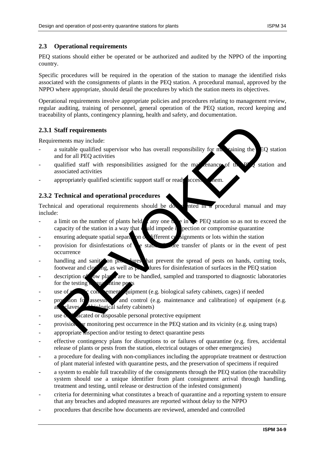## **2.3 Operational requirements**

PEQ stations should either be operated or be authorized and audited by the NPPO of the importing country.

Specific procedures will be required in the operation of the station to manage the identified risks associated with the consignments of plants in the PEQ station. A procedural manual, approved by the NPPO where appropriate, should detail the procedures by which the station meets its objectives.

Operational requirements involve appropriate policies and procedures relating to management review, regular auditing, training of personnel, general operation of the PEQ station, record keeping and traceability of plants, contingency planning, health and safety, and documentation.

## **2.3.1 Staff requirements**

Requirements may include:

- a suitable qualified supervisor who has overall responsibility for maintaining the EQ station and for all PEQ activities
- qualified staff with responsibilities assigned for the maintenance of the PEQ station and associated activities
- appropriately qualified scientific support staff or ready access. Them.

## **2.3.2 Technical and operational procedures**

Technical and operational requirements should be down in a procedural manual and may include:

- a limit on the number of plants held any one time in the PEQ station so as not to exceed the capacity of the station in a way that culd impede in pection or compromise quarantine Staff requirements<br>
and PEQ activities<br>
and PEQ activities<br>
and PEQ activities<br>
and PEQ activities<br>
and PEQ activities<br>
activities<br>
and operational procedures<br>
Fechnical and operational procedures<br>
Fechnical and operationa
- ensuring adequate spatial separation of different  $\alpha$  signments or lots within the station
- provision for disinfestations of  $\bullet$  station before transfer of plants or in the event of pest occurrence
- handling and sanitation procedures that prevent the spread of pests on hands, cutting tools, footwear and clothing, as well as procedures for disinfestation of surfaces in the PEQ station
- $\frac{1}{2}$  description of  $\frac{1}{2}$  ow plants are to be handled, sampled and transported to diagnostic laboratories for the testing  $\frac{1}{2}$  are  $\frac{1}{2}$  are to be handled, sampled and transported to diagnostic laborator for the testing
- use of specific configuration emerged equipment (e.g. biological safety cabinets, cages) if needed
- provision for assessment and control (e.g. maintenance and calibration) of equipment (e.g. autoclaves and biological safety cabinets)
- use of validated or disposable personal protective equipment
- provision for monitoring pest occurrence in the PEQ station and its vicinity (e.g. using traps)
- appropriate inspection and/or testing to detect quarantine pests
- effective contingency plans for disruptions to or failures of quarantine (e.g. fires, accidental release of plants or pests from the station, electrical outages or other emergencies)
- a procedure for dealing with non-compliances including the appropriate treatment or destruction of plant material infested with quarantine pests, and the preservation of specimens if required
- a system to enable full traceability of the consignments through the PEQ station (the traceability system should use a unique identifier from plant consignment arrival through handling, treatment and testing, until release or destruction of the infested consignment)
- criteria for determining what constitutes a breach of quarantine and a reporting system to ensure that any breaches and adopted measures are reported without delay to the NPPO
- procedures that describe how documents are reviewed, amended and controlled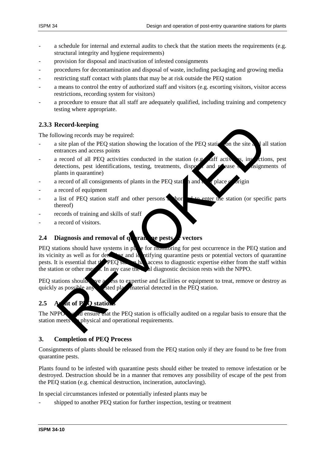- a schedule for internal and external audits to check that the station meets the requirements (e.g. structural integrity and hygiene requirements)
- provision for disposal and inactivation of infested consignments
- procedures for decontamination and disposal of waste, including packaging and growing media
- restricting staff contact with plants that may be at risk outside the PEQ station
- a means to control the entry of authorized staff and visitors (e.g. escorting visitors, visitor access restrictions, recording system for visitors)
- a procedure to ensure that all staff are adequately qualified, including training and competency testing where appropriate.

#### **2.3.3 Record-keeping**

The following records may be required:

- a site plan of the PEQ station showing the location of the PEQ station on the site  $\lambda$  all station entrances and access points
- a record of all PEQ activities conducted in the station (e.g.  $\alpha$  aff activities, insertions, pest detections, pest identifications, testing, treatments, dispose and release of consignments of plants in quarantine)
- a record of all consignments of plants in the PEQ station and their place of origin
- a record of equipment
- a list of PEQ station staff and other persons whore  $\frac{1}{2}$  to enter the station (or specific parts thereof)
- records of training and skills of staff
- a record of visitors.

#### **2.4 Diagnosis and removal of quarantine pests of vectors**

PEQ stations should have systems in place for monitoring for pest occurrence in the PEQ station and its vicinity as well as for detecting and identifying quarantine pests or potential vectors of quarantine pests. It is essential that  $t^2$ PEO states of diagnostic expertise either from the staff within pests. It is essential that  $t'$  PEQ station has access to diagnostic expertise either from the staff within the station or other means. In any case the  $\lambda$  diagnostic decision rests with the NPPO. Record-Reeping<br>
Nowing records may be required:<br>
stite plan of the PEQ station showing the location of the PEQ station<br>
trances and access points<br>
trances and access points<br>
trances and access points<br>
trances and access id

PEQ stations should have a less to expertise and facilities or equipment to treat, remove or destroy as quickly as possible any steed plant material detected in the PEQ station.

# **2.5 Audit of PEQ stations**

The NPPO station is officially audited on a regular basis to ensure that the station meets the physical and operational requirements.

#### **3. Completion of PEQ Process**

Consignments of plants should be released from the PEQ station only if they are found to be free from quarantine pests.

Plants found to be infested with quarantine pests should either be treated to remove infestation or be destroyed. Destruction should be in a manner that removes any possibility of escape of the pest from the PEQ station (e.g. chemical destruction, incineration, autoclaving).

In special circumstances infested or potentially infested plants may be

shipped to another PEQ station for further inspection, testing or treatment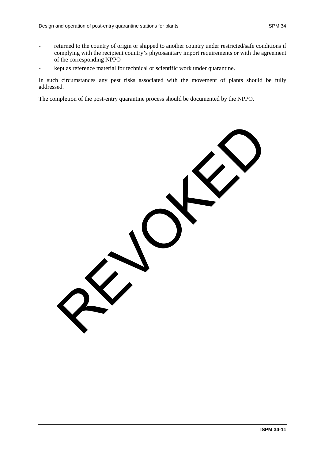- returned to the country of origin or shipped to another country under restricted/safe conditions if complying with the recipient country's phytosanitary import requirements or with the agreement of the corresponding NPPO
- kept as reference material for technical or scientific work under quarantine.

In such circumstances any pest risks associated with the movement of plants should be fully addressed.

The completion of the post-entry quarantine process should be documented by the NPPO.

![](_page_10_Picture_6.jpeg)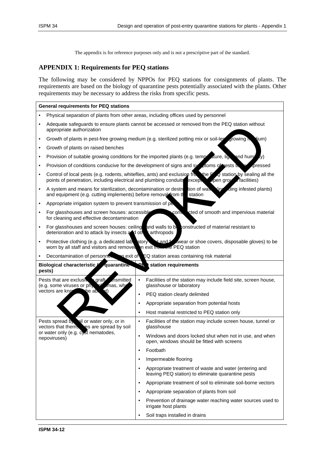The appendix is for reference purposes only and is not a prescriptive part of the standard.

#### **APPENDIX 1: Requirements for PEQ stations**

The following may be considered by NPPOs for PEQ stations for consignments of plants. The requirements are based on the biology of quarantine pests potentially associated with the plants. Other requirements may be necessary to address the risks from specific pests.

|                                                                                                                                                                                                                    | <b>General requirements for PEQ stations</b>                                                                                                                                      |  |  |  |  |
|--------------------------------------------------------------------------------------------------------------------------------------------------------------------------------------------------------------------|-----------------------------------------------------------------------------------------------------------------------------------------------------------------------------------|--|--|--|--|
| Physical separation of plants from other areas, including offices used by personnel                                                                                                                                |                                                                                                                                                                                   |  |  |  |  |
| Adequate safeguards to ensure plants cannot be accessed or removed from the PEQ station without<br>appropriate authorization                                                                                       |                                                                                                                                                                                   |  |  |  |  |
| $\bullet$                                                                                                                                                                                                          | Growth of plants in pest-free growing medium (e.g. sterilized potting mix or soil-leg<br>dium)<br><b>Arowing</b> N                                                                |  |  |  |  |
| Growth of plants on raised benches                                                                                                                                                                                 |                                                                                                                                                                                   |  |  |  |  |
| Provision of suitable growing conditions for the imported plants (e.g. temperature, lig. and hum<br>(y)                                                                                                            |                                                                                                                                                                                   |  |  |  |  |
| $\bullet$                                                                                                                                                                                                          | Provision of conditions conducive for the development of signs and symptoms of nests in the pressed                                                                               |  |  |  |  |
| Control of local pests (e.g. rodents, whiteflies, ants) and exclusion from the Pool station by sealing all the<br>points of penetration, including electrical and plumbing conduits except. Then group racilities) |                                                                                                                                                                                   |  |  |  |  |
| A system and means for sterilization, decontamination or destruction of was line ding infested plants)<br>$\bullet$<br>and equipment (e.g. cutting implements) before removal from the<br>station                  |                                                                                                                                                                                   |  |  |  |  |
| Appropriate irrigation system to prevent transmission of per<br>$\bullet$                                                                                                                                          |                                                                                                                                                                                   |  |  |  |  |
| conserved of smooth and impervious material<br>For glasshouses and screen houses: accessible<br>$\bullet$<br>for cleaning and effective decontamination                                                            |                                                                                                                                                                                   |  |  |  |  |
| For glasshouses and screen houses: ceiling and walls to be constructed of material resistant to<br>deterioration and to attack by insects and other arthropods                                                     |                                                                                                                                                                                   |  |  |  |  |
| $\bullet$                                                                                                                                                                                                          | Protective clothing (e.g. a dedicated label atory and for wear or shoe covers, disposable gloves) to be<br>worn by all staff and visitors and removed on exit homeine PEQ station |  |  |  |  |
| $\bullet$                                                                                                                                                                                                          | Decontamination of personners are exit of EQ station areas containing risk material                                                                                               |  |  |  |  |
| <b>RA</b><br>Biological characteristic / quarantine-<br>station requirements<br>pests)                                                                                                                             |                                                                                                                                                                                   |  |  |  |  |
|                                                                                                                                                                                                                    |                                                                                                                                                                                   |  |  |  |  |
| <b>graft</b><br>Pests that are exclusive<br>msmitted<br>why mas, whe<br>(e.g. some viruses or phy                                                                                                                  | Facilities of the station may include field site, screen house,<br>$\bullet$<br>glasshouse or laboratory                                                                          |  |  |  |  |
| vectors are know<br>be ab.<br>at)                                                                                                                                                                                  | PEQ station clearly delimited<br>$\bullet$                                                                                                                                        |  |  |  |  |
|                                                                                                                                                                                                                    | Appropriate separation from potential hosts<br>٠                                                                                                                                  |  |  |  |  |
|                                                                                                                                                                                                                    | Host material restricted to PEQ station only<br>$\bullet$                                                                                                                         |  |  |  |  |
| Pests spread by pil or water only, or in<br>vectors that thems ves are spread by soil                                                                                                                              | $\bullet$<br>Facilities of the station may include screen house, tunnel or<br>glasshouse                                                                                          |  |  |  |  |
| or water only (e.g. cyst nematodes,<br>nepoviruses)                                                                                                                                                                | Windows and doors locked shut when not in use, and when<br>$\bullet$<br>open, windows should be fitted with screens                                                               |  |  |  |  |
|                                                                                                                                                                                                                    | Footbath<br>٠                                                                                                                                                                     |  |  |  |  |
|                                                                                                                                                                                                                    | Impermeable flooring<br>$\bullet$                                                                                                                                                 |  |  |  |  |
|                                                                                                                                                                                                                    | Appropriate treatment of waste and water (entering and<br>٠<br>leaving PEQ station) to eliminate quarantine pests                                                                 |  |  |  |  |
|                                                                                                                                                                                                                    | Appropriate treatment of soil to eliminate soil-borne vectors<br>$\bullet$                                                                                                        |  |  |  |  |
|                                                                                                                                                                                                                    | Appropriate separation of plants from soil<br>٠                                                                                                                                   |  |  |  |  |
|                                                                                                                                                                                                                    | Prevention of drainage water reaching water sources used to<br>irrigate host plants                                                                                               |  |  |  |  |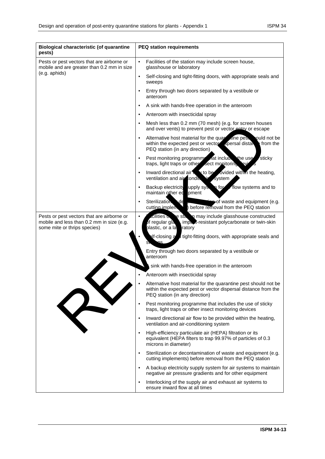| Biological characteristic (of quarantine<br>pests)                                                                      | <b>PEQ station requirements</b>                                                                                                                                                  |
|-------------------------------------------------------------------------------------------------------------------------|----------------------------------------------------------------------------------------------------------------------------------------------------------------------------------|
| Pests or pest vectors that are airborne or<br>mobile and are greater than 0.2 mm in size<br>(e.g. aphids)               | $\bullet$<br>Facilities of the station may include screen house,<br>glasshouse or laboratory                                                                                     |
|                                                                                                                         | Self-closing and tight-fitting doors, with appropriate seals and<br>$\bullet$<br>sweeps                                                                                          |
|                                                                                                                         | Entry through two doors separated by a vestibule or<br>anteroom                                                                                                                  |
|                                                                                                                         | A sink with hands-free operation in the anteroom<br>$\bullet$                                                                                                                    |
|                                                                                                                         | Anteroom with insecticidal spray<br>٠                                                                                                                                            |
|                                                                                                                         | Mesh less than 0.2 mm (70 mesh) (e.g. for screen houses<br>and over vents) to prevent pest or vector entry or escape                                                             |
|                                                                                                                         | Alternative host material for the quare and pession ould not be<br>$\bullet$<br>within the expected pest or vector spersal distant<br>from the<br>PEQ station (in any direction) |
|                                                                                                                         | Pest monitoring programme nat include the use<br>sticky<br>$\bullet$<br>traps, light traps or other sect monitoring<br>evi                                                       |
|                                                                                                                         | Inward directional air v to be vovided within the heating,<br>ventilation and air condition<br>system                                                                            |
|                                                                                                                         | n for<br>flow systems and to<br>Backup electricity<br>upply sys<br>$\bullet$<br>maintain other ed<br>pment                                                                       |
|                                                                                                                         | Sterilization<br>of waste and equipment (e.g.<br>$\mathsf{dd}\mathsf{e}$<br>before removal from the PEQ station<br>cutting implem                                                |
| Pests or pest vectors that are airborne or<br>mobile and less than 0.2 mm in size (e.g.<br>some mite or thrips species) | cilities de standing may include glasshouse constructed<br>of regular gla<br>imps. t-resistant polycarbonate or twin-skin<br>plastic, or a la<br>ratory                          |
|                                                                                                                         | ight-fitting doors, with appropriate seals and<br>ଧ୍ <b>f-closing</b> a<br><b>DAS</b><br>S۱                                                                                      |
|                                                                                                                         | Entry through two doors separated by a vestibule or<br>anteroom                                                                                                                  |
|                                                                                                                         | sink with hands-free operation in the anteroom                                                                                                                                   |
|                                                                                                                         | Anteroom with insecticidal spray                                                                                                                                                 |
|                                                                                                                         | Alternative host material for the quarantine pest should not be<br>within the expected pest or vector dispersal distance from the<br>PEQ station (in any direction)              |
|                                                                                                                         | Pest monitoring programme that includes the use of sticky<br>$\bullet$<br>traps, light traps or other insect monitoring devices                                                  |
| R                                                                                                                       | Inward directional air flow to be provided within the heating,<br>$\bullet$<br>ventilation and air-conditioning system                                                           |
|                                                                                                                         | High-efficiency particulate air (HEPA) filtration or its<br>equivalent (HEPA filters to trap 99.97% of particles of 0.3<br>microns in diameter)                                  |
|                                                                                                                         | Sterilization or decontamination of waste and equipment (e.g.<br>$\bullet$<br>cutting implements) before removal from the PEQ station                                            |
|                                                                                                                         | A backup electricity supply system for air systems to maintain<br>$\bullet$<br>negative air pressure gradients and for other equipment                                           |
|                                                                                                                         | Interlocking of the supply air and exhaust air systems to<br>ensure inward flow at all times                                                                                     |